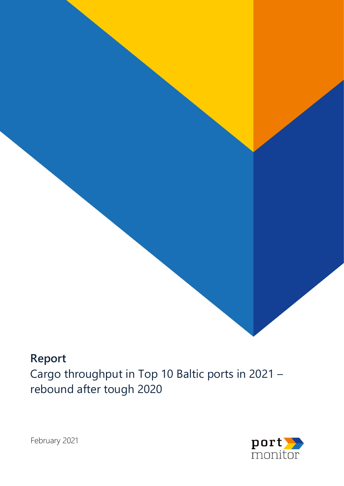# **Report** Cargo throughput in Top 10 Baltic ports in 2021 – rebound after tough 2020



**Port Monitor.** Cargo turnover in Top 10 Baltic ports. Rebound after tough 2020



February 2021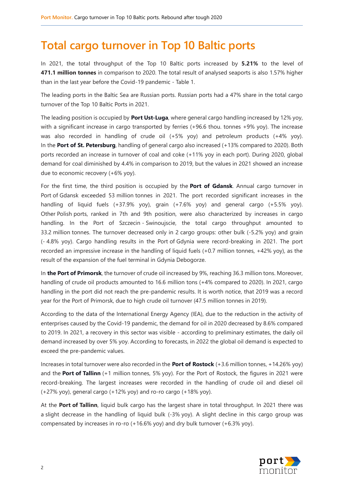# **Total cargo turnover in Top 10 Baltic ports**

In 2021, the total throughput of the Top 10 Baltic ports increased by **5.21%** to the level of **471.1 million tonnes** in comparison to 2020. The total result of analysed seaports is also 1.57% higher than in the last year before the Covid-19 pandemic - Table 1.

The leading ports in the Baltic Sea are Russian ports. Russian ports had a 47% share in the total cargo turnover of the Top 10 Baltic Ports in 2021.

The leading position is occupied by **Port Ust-Luga**, where general cargo handling increased by 12% yoy, with a significant increase in cargo transported by ferries (+96.6 thou. tonnes +9% yoy). The increase was also recorded in handling of crude oil (+5% yoy) and petroleum products (+4% yoy). In the **Port of St. Petersburg**, handling of general cargo also increased (+13% compared to 2020). Both ports recorded an increase in turnover of coal and coke (+11% yoy in each port). During 2020, global demand for coal diminished by 4.4% in comparison to 2019, but the values in 2021 showed an increase due to economic recovery (+6% yoy).

For the first time, the third position is occupied by the **Port of Gdansk**. Annual cargo turnover in Port of Gdansk exceeded 53 million tonnes in 2021. The port recorded significant increases in the handling of liquid fuels (+37.9% yoy), grain (+7.6% yoy) and general cargo (+5.5% yoy). Other Polish ports, ranked in 7th and 9th position, were also characterized by increases in cargo handling. In the Port of Szczecin - Swinoujscie, the total cargo throughput amounted to 33.2 million tonnes. The turnover decreased only in 2 cargo groups: other bulk (-5.2% yoy) and grain (- 4.8% yoy). Cargo handling results in the Port of Gdynia were record-breaking in 2021. The port recorded an impressive increase in the handling of liquid fuels (+0.7 million tonnes, +42% yoy), as the result of the expansion of the fuel terminal in Gdynia Debogorze.

In **the Port of Primorsk**, the turnover of crude oil increased by 9%, reaching 36.3 million tons. Moreover, handling of crude oil products amounted to 16.6 million tons (+4% compared to 2020). In 2021, cargo handling in the port did not reach the pre-pandemic results. It is worth notice, that 2019 was a record year for the Port of Primorsk, due to high crude oil turnover (47.5 million tonnes in 2019).

According to the data of the International Energy Agency (IEA), due to the reduction in the activity of enterprises caused by the Covid-19 pandemic, the demand for oil in 2020 decreased by 8.6% compared to 2019. In 2021, a recovery in this sector was visible - according to preliminary estimates, the daily oil demand increased by over 5% yoy. According to forecasts, in 2022 the global oil demand is expected to exceed the pre-pandemic values.

Increases in total turnover were also recorded in the **Port of Rostock** (+3.6 million tonnes, +14.26% yoy) and the **Port of Tallinn** (+1 million tonnes, 5% yoy). For the Port of Rostock, the figures in 2021 were record-breaking. The largest increases were recorded in the handling of crude oil and diesel oil (+27% yoy), general cargo (+12% yoy) and ro-ro cargo (+18% yoy).

At the **Port of Tallinn**, liquid bulk cargo has the largest share in total throughput. In 2021 there was a slight decrease in the handling of liquid bulk (-3% yoy). A slight decline in this cargo group was compensated by increases in ro-ro (+16.6% yoy) and dry bulk turnover (+6.3% yoy).

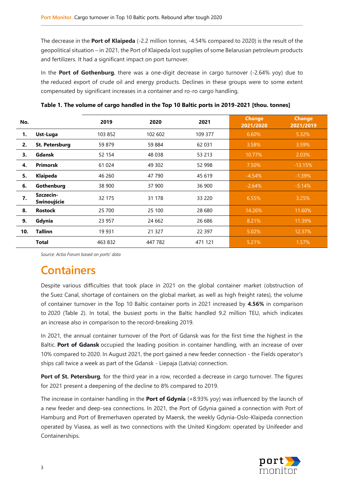The decrease in the **Port of Klaipeda** (-2.2 million tonnes, -4.54% compared to 2020) is the result of the geopolitical situation – in 2021, the Port of Klaipeda lost supplies of some Belarusian petroleum products and fertilizers. It had a significant impact on port turnover.

In the **Port of Gothenburg**, there was a one-digit decrease in cargo turnover (-2.64% yoy) due to the reduced export of crude oil and energy products. Declines in these groups were to some extent compensated by significant increases in a container and ro-ro cargo handling.

| No. |                          | 2019    | 2020    | 2021     | <b>Change</b><br>2021/2020 | <b>Change</b><br>2021/2019 |
|-----|--------------------------|---------|---------|----------|----------------------------|----------------------------|
| 1.  | Ust-Luga                 | 103 852 | 102 602 | 109 377  | 6.60%                      | 5.32%                      |
| 2.  | St. Petersburg           | 59 879  | 59 884  | 62 031   | 3.58%                      | 3.59%                      |
| 3.  | Gdansk                   | 52 154  | 48 038  | 53 213   | 10.77%                     | 2.03%                      |
| 4.  | <b>Primorsk</b>          | 61 024  | 49 302  | 52 998   | 7.50%                      | $-13.15%$                  |
| 5.  | Klaipeda                 | 46 260  | 47 790  | 45 619   | $-4.54%$                   | $-1.39%$                   |
| 6.  | Gothenburg               | 38 900  | 37 900  | 36 900   | $-2.64%$                   | $-5.14%$                   |
| 7.  | Szczecin-<br>Swinoujście | 32 175  | 31 178  | 33 220   | 6.55%                      | 3.25%                      |
| 8.  | <b>Rostock</b>           | 25 700  | 25 100  | 28 680   | 14.26%                     | 11.60%                     |
| 9.  | Gdynia                   | 23 957  | 24 662  | 26 686   | 8.21%                      | 11.39%                     |
| 10. | <b>Tallinn</b>           | 19 9 31 | 21 3 27 | 22 3 9 7 | 5.02%                      | 12.37%                     |
|     | <b>Total</b>             | 463 832 | 447 782 | 471 121  | 5.21%                      | 1.57%                      |

**Table 1. The volume of cargo handled in the Top 10 Baltic ports in 2019-2021 [thou. tonnes]**

*Source: Actia Forum based on ports' data*

# **Containers**

Despite various difficulties that took place in 2021 on the global container market (obstruction of the Suez Canal, shortage of containers on the global market, as well as high freight rates), the volume of container turnover in the Top 10 Baltic container ports in 2021 increased by **4.56%** in comparison to 2020 (Table 2). In total, the busiest ports in the Baltic handled 9.2 million TEU, which indicates an increase also in comparison to the record-breaking 2019.

In 2021, the annual container turnover of the Port of Gdansk was for the first time the highest in the Baltic. **Port of Gdansk** occupied the leading position in container handling, with an increase of over 10% compared to 2020. In August 2021, the port gained a new feeder connection - the Fields operator's ships call twice a week as part of the Gdansk - Liepaja (Latvia) connection.

**Port of St. Petersburg**, for the third year in a row, recorded a decrease in cargo turnover. The figures for 2021 present a deepening of the decline to 8% compared to 2019.

The increase in container handling in the **Port of Gdynia** (+8.93% yoy) was influenced by the launch of a new feeder and deep-sea connections. In 2021, the Port of Gdynia gained a connection with Port of Hamburg and Port of Bremerhaven operated by Maersk, the weekly Gdynia-Oslo-Klaipeda connection operated by Viasea, as well as two connections with the United Kingdom: operated by Unifeeder and Containerships.

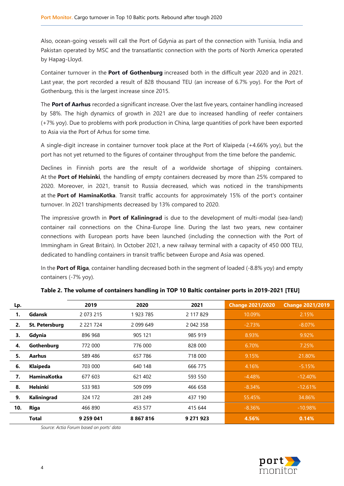Also, ocean-going vessels will call the Port of Gdynia as part of the connection with Tunisia, India and Pakistan operated by MSC and the transatlantic connection with the ports of North America operated by Hapag-Lloyd.

Container turnover in the **Port of Gothenburg** increased both in the difficult year 2020 and in 2021. Last year, the port recorded a result of 828 thousand TEU (an increase of 6.7% yoy). For the Port of Gothenburg, this is the largest increase since 2015.

The **Port of Aarhus** recorded a significant increase. Over the last five years, container handling increased by 58%. The high dynamics of growth in 2021 are due to increased handling of reefer containers (+7% yoy). Due to problems with pork production in China, large quantities of pork have been exported to Asia via the Port of Arhus for some time.

A single-digit increase in container turnover took place at the Port of Klaipeda (+4.66% yoy), but the port has not yet returned to the figures of container throughput from the time before the pandemic.

Declines in Finnish ports are the result of a worldwide shortage of shipping containers. At the **Port of Helsinki**, the handling of empty containers decreased by more than 25% compared to 2020. Moreover, in 2021, transit to Russia decreased, which was noticed in the transhipments at the **Port of HaminaKotka**. Transit traffic accounts for approximately 15% of the port's container turnover. In 2021 transhipments decreased by 13% compared to 2020.

The impressive growth in **Port of Kaliningrad** is due to the development of multi-modal (sea-land) container rail connections on the China-Europe line. During the last two years, new container connections with European ports have been launched (including the connection with the Port of Immingham in Great Britain). In October 2021, a new railway terminal with a capacity of 450 000 TEU, dedicated to handling containers in transit traffic between Europe and Asia was opened.

In the **Port of Riga**, container handling decreased both in the segment of loaded (-8.8% yoy) and empty containers (-7% yoy).

| Lp. |                       | 2019          | 2020        | 2021      | <b>Change 2021/2020</b> | <b>Change 2021/2019</b> |
|-----|-----------------------|---------------|-------------|-----------|-------------------------|-------------------------|
|     | Gdansk                | 2 0 7 3 2 1 5 | 1923 785    | 2 117 829 | 10.09%                  | 2.15%                   |
| 2.  | <b>St. Petersburg</b> | 2 2 2 1 7 2 4 | 2 0 9 6 4 9 | 2 042 358 | $-2.73%$                | $-8.07\%$               |
| 3.  | Gdynia                | 896 968       | 905 121     | 985 919   | 8.93%                   | 9.92%                   |
| 4.  | Gothenburg            | 772 000       | 776 000     | 828 000   | 6.70%                   | 7.25%                   |
| 5.  | Aarhus                | 589 486       | 657 786     | 718 000   | 9.15%                   | 21.80%                  |
| 6.  | Klaipeda              | 703 000       | 640 148     | 666 775   | 4.16%                   | $-5.15%$                |
| 7.  | HaminaKotka           | 677 603       | 621 402     | 593 550   | $-4.48%$                | $-12.40%$               |
| 8.  | <b>Helsinki</b>       | 533 983       | 509 099     | 466 658   | $-8.34%$                | $-12.61%$               |
| 9.  | Kaliningrad           | 324 172       | 281 249     | 437 190   | 55.45%                  | 34.86%                  |
| 10. | Riga                  | 466 890       | 453 577     | 415 644   | $-8.36%$                | $-10.98%$               |
|     | <b>Total</b>          | 9 259 041     | 8867816     | 9 271 923 | 4.56%                   | 0.14%                   |

### **Table 2. The volume of containers handling in TOP 10 Baltic container ports in 2019-2021 [TEU]**

*Source: Actia Forum based on ports' data*